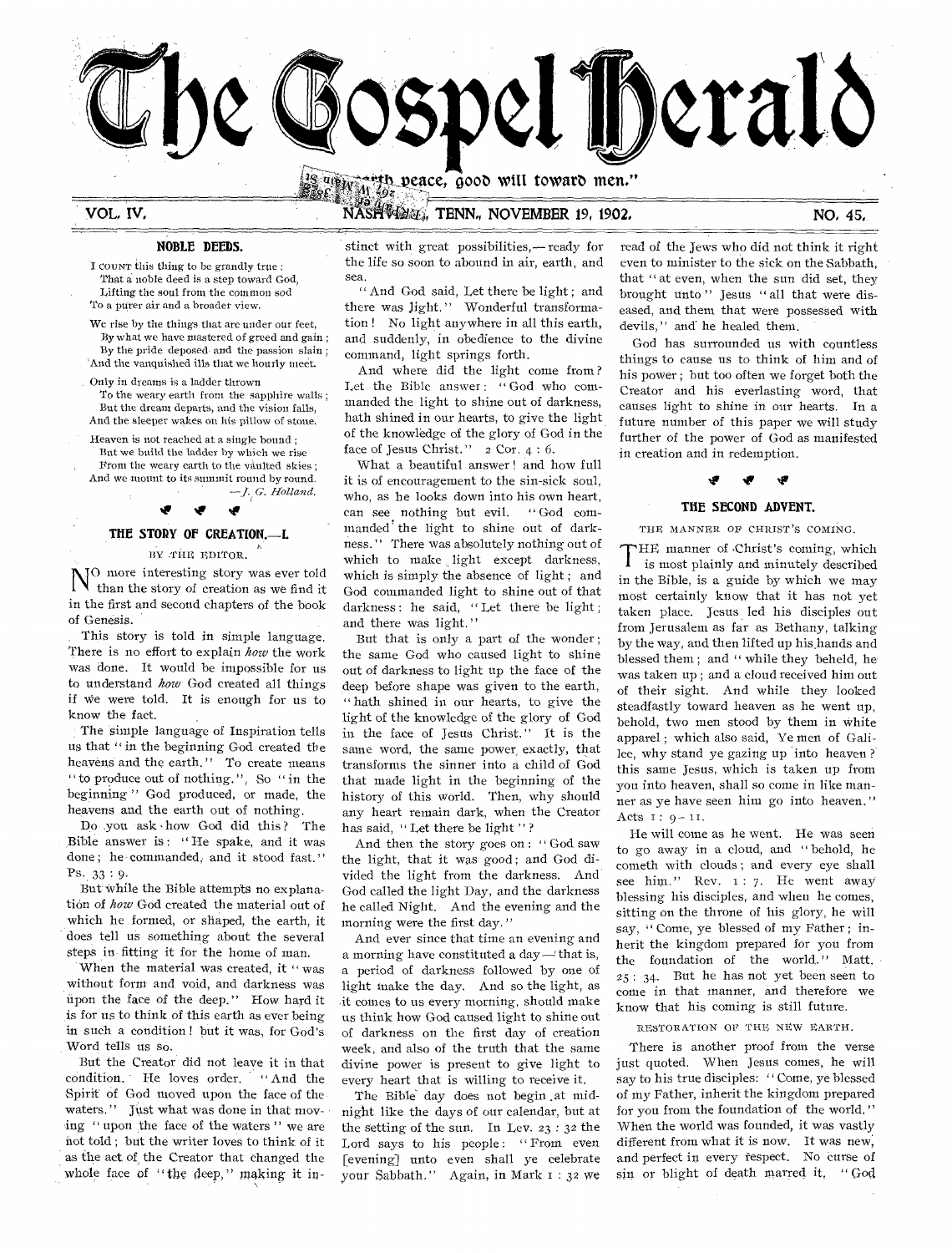

VOL. IV.

# NASHVOLT, TENN, NOVEMBER 19, 1902.

### NOBLE DEEDS.

I COUNT this thing to be grandly true : That a noble deed is a step toward God, Lifting the soul from the common sod To a purer air and a broader view.

We rise by the things that are under our feet, By what we have mastered of greed and gain; By the pride deposed and the passion slain; And the vanquished ills that we hourly meet.

Only in dreams is a ladder thrown To the weary earth from the sapphire walls: But the dream departs, and the vision falls, And the sleeper wakes on his pillow of stone.

Heaven is not reached at a single bound;

But we build the ladder by which we rise From the weary earth to the vaulted skies: And we mount to its summit round by round.  $-J$ , G. Holland

# THE STORY OF CREATION.--- I.

BY THE EDITOR.

JO more interesting story was ever told than the story of creation as we find it in the first and second chapters of the book of Genesis.

This story is told in simple language. There is no effort to explain how the work was done. It would be impossible for us to understand how God created all things if we were told. It is enough for us to know the fact.

The simple language of Inspiration tells us that "in the beginning God created the heavens and the earth." To create means "to produce out of nothing.", So "in the beginning" God produced, or made, the heavens and the earth out of nothing.

Do you ask how God did this? The Bible answer is: "He spake, and it was done; he commanded, and it stood fast."  $Ps. 33:9.$ 

But while the Bible attempts no explanation of how God created the material out of which he formed, or shaped, the earth, it does tell us something about the several steps in fitting it for the home of man.

When the material was created, it "was without form and void, and darkness was upon the face of the deep." How hard it is for us to think of this earth as ever being in such a condition! but it was, for God's Word tells us so.

But the Creator did not leave it in that condition. He loves order, "And the Spirit of God moved upon the face of the waters." Just what was done in that moving "upon the face of the waters" we are not told; but the writer loves to think of it as the act of the Creator that changed the whole face of "the deep," making it instinct with great possibilities,—ready for the life so soon to abound in air, earth, and sea.

"And God said, Let there be light; and there was light." Wonderful transformation! No light anywhere in all this earth, and suddenly, in obedience to the divine command, light springs forth.

And where did the light come from? Let the Bible answer: "God who commanded the light to shine out of darkness, hath shined in our hearts, to give the light of the knowledge of the glory of God in the face of Jesus Christ."  $2 \text{Cor. } 4:6$ .

What a beautiful answer! and how full it is of encouragement to the sin-sick soul, who, as he looks down into his own heart,  $\alpha$  God comcan see nothing but evil. manded the light to shine out of darkness." There was absolutely nothing out of which to make light except darkness, which is simply the absence of light; and God commanded light to shine out of that darkness: he said, "Let there be light; and there was light."

But that is only a part of the wonder; the same God who caused light to shine out of darkness to light up the face of the deep before shape was given to the earth, "hath shined in our hearts, to give the light of the knowledge of the glory of God in the face of Jesus Christ." It is the same word, the same power exactly, that transforms the sinner into a child of God that made light in the beginning of the history of this world. Then, why should any heart remain dark, when the Creator has said, "Let there be light"?

And then the story goes on: "God saw the light, that it was good; and God divided the light from the darkness. And God called the light Day, and the darkness he called Night. And the evening and the morning were the first day."

And ever since that time an evening and a morning have constituted a day - that is, a period of darkness followed by one of light make the day. And so the light, as it comes to us every morning, should make us think how God caused light to shine out of darkness on the first day of creation week, and also of the truth that the same divine power is present to give light to every heart that is willing to receive it.

The Bible day does not begin at midnight like the days of our calendar, but at the setting of the sun. In Lev.  $23:32$  the Lord says to his people: "From even [evening] unto even shall ye celebrate your Sabbath." Again, in Mark 1:32 we

read of the Jews who did not think it right even to minister to the sick on the Sabbath, that "at even, when the sun did set, they brought unto" Jesus "all that were diseased, and them that were possessed with devils," and he healed them.

God has surrounded us with countless things to cause us to think of him and of his power; but too often we forget both the Creator and his everlasting word, that causes light to shine in our hearts. In a future number of this paper we will study further of the power of God as manifested in creation and in redemption.

#### Ŵ

### THE SECOND ADVENT.

THE MANNER OF CHRIST'S COMING.

THE manner of Christ's coming, which is most plainly and minutely described in the Bible, is a guide by which we may most certainly know that it has not yet taken place. Jesus led his disciples out from Jerusalem as far as Bethany, talking by the way, and then lifted up his hands and blessed them; and "while they beheld, he was taken up; and a cloud received him out of their sight. And while they looked steadfastly toward heaven as he went up, behold, two men stood by them in white apparel; which also said, Ye men of Galilee, why stand ye gazing up into heaven? this same Jesus, which is taken up from you into heaven, shall so come in like manner as ye have seen him go into heaven." Acts  $1: 9 - 11$ .

He will come as he went. He was seen to go away in a cloud, and "behold, he cometh with clouds; and every eye shall see him." Rev. 1: 7. He went away blessing his disciples, and when he comes, sitting on the throne of his glory, he will say, "Come, ye blessed of my Father; inherit the kingdom prepared for you from the foundation of the world." Matt. 25: 34. But he has not yet been seen to come in that manner, and therefore we know that his coming is still future.

RESTORATION OF THE NEW EARTH.

There is another proof from the verse just quoted. When Jesus comes, he will say to his true disciples: "Come, ye blessed of my Father, inherit the kingdom prepared for you from the foundation of the world." When the world was founded, it was vastly different from what it is now. It was new, and perfect in every respect. No curse of sin or blight of death marred it. "God

NO, 45,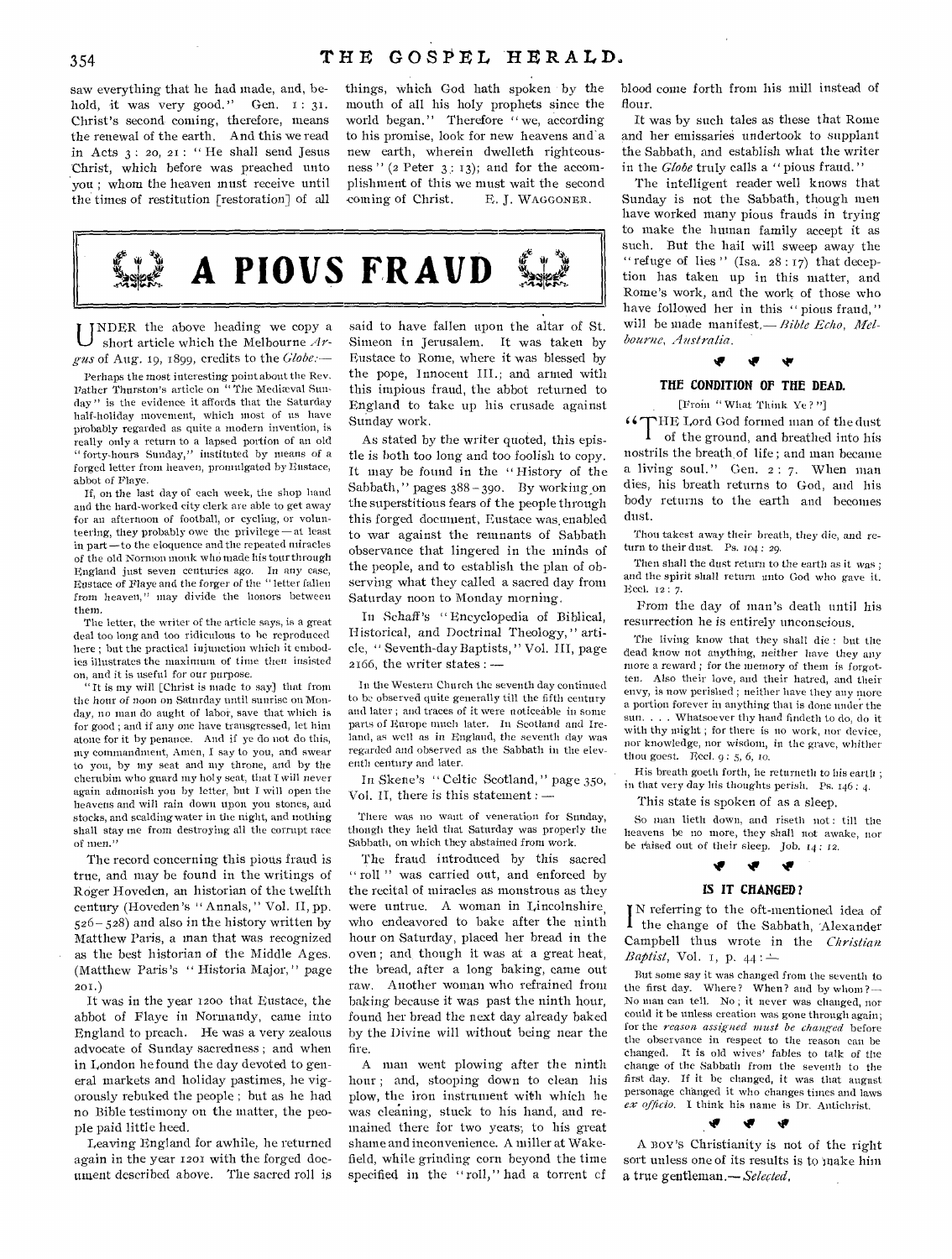saw everything that he had made, and, behold, it was very good." Gen. I: 31. Christ's second coming, therefore, means the renewal of the earth. And this we read in Acts 3 : 20, 21 : " He shall send Jesus Christ, which before was preached unto you ; whom the heaven must receive until the times of restitution [restoration] of all things, which God hath spoken by the mouth of all his holy prophets since the world began." Therefore " we, according to his promise, look for new heavens and a new earth, wherein dwelleth righteousness "  $(2$  Peter  $3$ : 13); and for the accomplishment of this we must wait the second coming of Christ. E. J. WAGGONER.



UNDER the above heading we copy a short article which the Melbourne  $Ar$ short article which the Melbourne *Argus* of Aug. 19, 1899, credits to the *Globe:—* 

*Perhaps* the most interesting point about the Rev. Father Thurston's article on "The Mediæval Sunday" is the evidence it affords that the Saturday half-holiday movement, which most of us have probably regarded as quite a modern invention, is really only a return to a lapsed portion of an old " forty-hours Sunday," instituted by means of a forged letter from heaven, promulgated by Eustace, abbot of Flaye.

If, on the last day of each week, the shop hand and the hard-worked city clerk are able to get away for an afternoon of football, or cycling, or volunteering, they probably owe the privilege—at least in part —to the eloquence and the repeated miracles of the old Normon monk who made his tour through England just seven centuries ago. In any case, Eustace of Playe and the forger of the " letter fallen from heaven," may divide the honors between them.

The letter, the writer of the article says, is a great deal too long and too ridiculous to he reproduced here ; but the practical injunction which it embodies illustrates the maximum of time then insisted on, and it is useful for our purpose.

It is my will [Christ is made to say] that from the hour of noon on Saturday until sunrise on Monday, no man do aught of labor, save that which is for good ; and if any one have transgressed, let him atone for it by penance. And if ye do not do this, my commandment, Amen, I say to you, and swear to you, by my seat and my throne, and by the cherubim who guard my holy seat, that I will never again admonish you by letter, but I will open the heavens and will rain down upon you stones, and stocks, and scalding water in the night, and nothing shall stay me from destroying all the corrupt race of men."

The record concerning this pious fraud is true, and may be found in the writings of Roger Hoveden, an historian of the twelfth century (Hoveden's " Annals, " Vol. II, pp. 526- 528) and also in the history written by Matthew Paris, a man that was recognized as the best historian of the Middle Ages. (Matthew Paris's " Historia Major," page  $201.$ )

It was in the year 1200 that Eustace, the abbot of Flaye in Normandy, came into England to preach. He was a very zealous advocate of Sunday sacredness ; and when in London he found the day devoted to general markets and holiday pastimes, he vigorously rebuked the people ; but as he had no Bible testimony on the matter, the people paid little heed.

Leaving England for awhile, he returned again in the year 1201 with the forged document described above. The sacred roll is said to have fallen upon the altar of St. Simeon in Jerusalem. It was taken by Eustace to Rome, where it was blessed by the pope, Innocent III.; and armed with this impious fraud, the abbot returned to England to take up his crusade against Sunday work.

As stated by the writer quoted, this epistle is both too long and too foolish to copy. It may be found in the " History of the Sabbath," pages 388 - 39o. By working on the superstitious fears of the people through this forged document, Eustace was, enabled to war against the remnants of Sabbath observance that lingered in the minds of the people, and to establish the plan of observing what they called a sacred day from Saturday noon to Monday morning.

In Schaff *'s* " Encyclopedia of Biblical, II istorical, and Doctrinal Theology, " article, " Seventh-day Baptists, " Vol. III, page 2166, the writer states : —

In the Western Church the seventh day continued to be observed quite generally till the fifth century and later ; and traces of it were noticeable in some parts of Europe much later. In Scotland and Ireland, as well as in England, the seventh day was regarded and observed as the Sabbath in the eleventh century and later.

In Skene's " Celtic Scotland, " page 35o, Vol. II, there is this statement : —

There was no want of veneration for Sunday, though they held that Saturday was properly the Sabbath, on which they abstained from work.

The fraud introduced by this sacred " roll" was carried out, and enforced by the recital of miracles as monstrous as they were untrue. A woman in Lincolnshire, who endeavored to bake after the ninth hour on Saturday, placed her bread in the oven ; and though it was at a great heat, the bread, after a long baking, came out raw. Another woman who refrained from baking because it was past the ninth hour, found her bread the next day already baked by the Divine will without being near the fire.

A man went plowing after the ninth hour ; and, stooping down to clean his plow, the iron instrument with which he was cleaning, stuck to his hand, and remained there for two years; to his great shame and inconvenience. A miller at Wakefield, while grinding corn beyond the time specified in the "roll," had a torrent cf blood come forth from his mill instead of flour.

It was by such tales as these that Rome and her emissaries undertook to supplant the Sabbath, and establish what the writer in the *Globe* truly calls a " pious fraud. "

The intelligent reader well knows that Sunday is not the Sabbath, though men have worked many pious frauds in trying to make the human family accept it as such. But the hail will sweep away the " refuge of lies" (Isa.  $28:17$ ) that deception has taken up in this matter, and Rome's work, and the work of those who have followed her in this " pious fraud," will be made manifest. - Bible Echo, Mel*bourne, Australia.* 

#### **tir Air**

### **THE CONDITION OF THE DEAD.**

[From " What Think Ye?"]

"THE Lord God formed man of the dust of the ground, and breathed into his nostrils the breath, of life ; and man became a living soul." Gen. 2: 7. When man dies, his breath returns to God, and his body returns to the earth and becomes dust.

Thou takest away their breath, they die, and return to their dust. Ps. 104: 29.

Then shall the dust return to the earth *as* it was ; and the spirit shall return unto God who gave it. Ecel. 12 : 7.

From the day of man's death until his resurrection he is entirely unconscious.

The living know that they shall die : but the dead know not anything, neither have they any more a reward ; for the memory of them is forgotten. Also their love, and their hatred, and their envy, is now perished ; neither have they any more a portion forever in anything that is done under the sun. . . . Whatsoever thy hand findeth to do, do it with thy might ; for there is no work, nor device, nor knowledge, nor wisdom, in the grave, whither thou goest. Eecl.  $9:5, 6, 10$ .

His breath goeth forth, he returneth to his earth ; in that very day his thoughts perish. Ps.  $146:4$ .

This state is spoken of as a sleep.

So man lieth down, and riseth not: till the heavens be no more, they shall not awake, nor be raised out of their sleep. Job. 14: 12.



**I** N referring to the oft-mentioned idea of I the change of the Sabbath, 'Alexander Campbell thus wrote in the *Christian Baptist*, Vol. 1, p.  $44:$ 

But some say it was changed from the seventh to the first day. Where? When? and by whom? $-$ No man can tell. No ; it never was changed, nor could it be unless creation was gone through again; for the *reason assigned must be changed* before the observance in respect to the reason can be changed. It is old wives' fables to talk of the change of the Sabbath from the seventh to the *first* day. If it be changed, it was that august personage changed it who changes times and laws *ex officio.* I think his name is Dr. Antichrist.

A BOY'S Christianity is not of the right sort unless one of its results is to make him

G

a true gentleman.— *Selected,*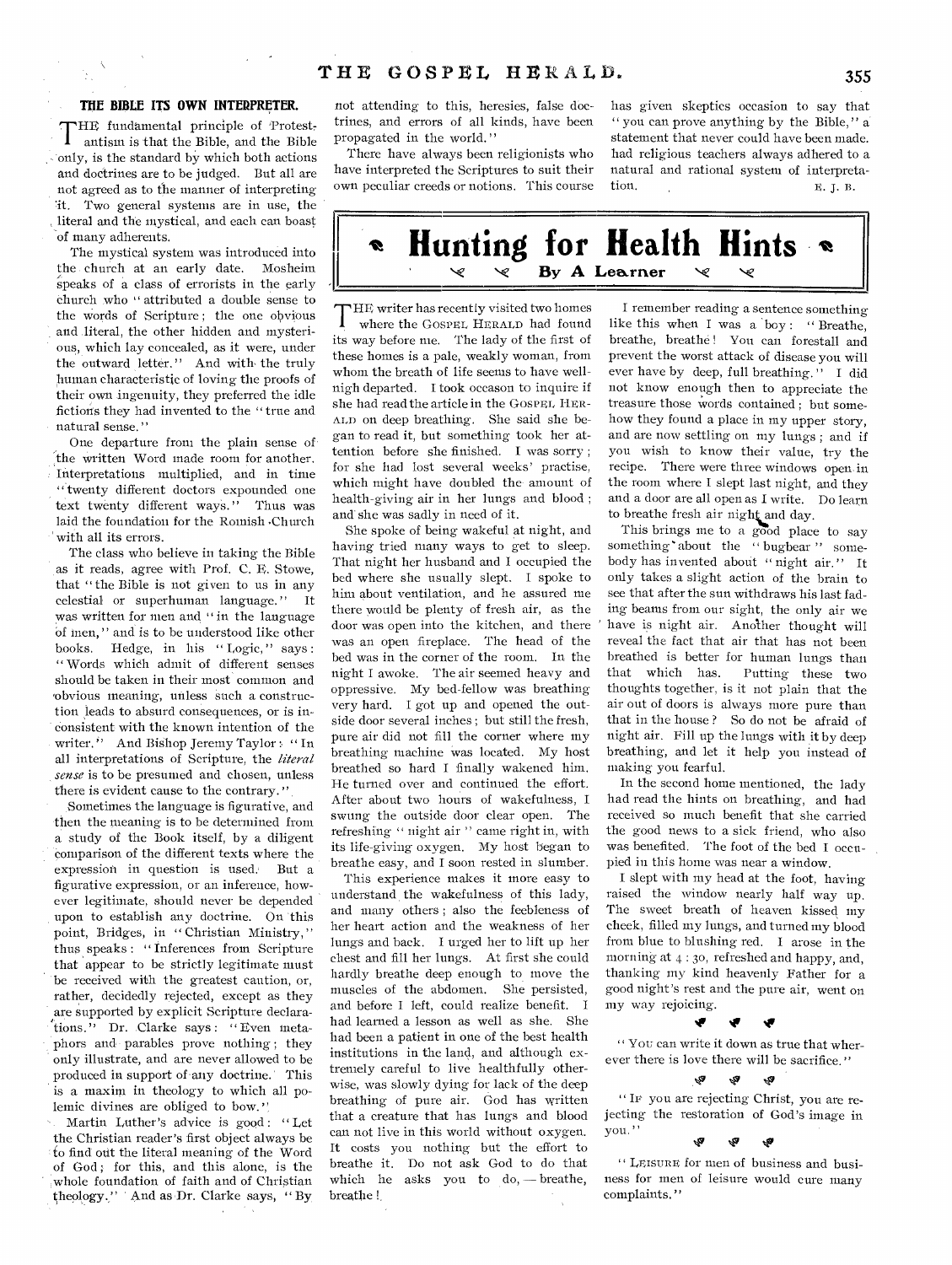### **THE BIBLE ITS OWN INTERPRETER.**

THE fundamental principle of Protest-<br>antism is that the Bible, and the Bible HE fundamental principle of Protest only, is the standard by which both actions and doctrines are to be judged. But all are not agreed as to the manner of interpreting 'it. Two general systems are in use, the , literal and the mystical, and each can boast of many adherents.

The mystical system was introduced into the church at an early date. Mosheim speaks of a class of errorists in the early Church who " attributed a double sense to the words of Scripture; the one obvious and literal, the other hidden and mysterious, which lay concealed, as it were, under the outward letter." And with the truly human characteristic of loving the proofs of their own ingenuity, they preferred the idle fictions they had invented to the " true and natural sense. "

One departure froni the plain sense of the written Word made room for another. Interpretations multiplied, and in time "twenty different doctors expounded one text twenty different ways. " Thus was laid the foundation for the Romish .Church with all its errors.

The class who believe in taking the Bible as it reads, agree with Prof. C. E. Stowe, that " the Bible is not given to us in any celestial or superhuman language. " It was written for men and "in the language Of men, " and is to be understood like other books. Hedge, in his "Logic," says: " Words which admit of different senses should be taken in their most common and 'obvious meaning, unless such a construction leads to absurd consequences, or is inconsistent with the known intention of the writer." And Bishop Jeremy Taylor: "In all interpretations of Scripture, the *literal sense is* to be presumed and chosen, unless there is evident cause to the contrary."

Sometimes the language is figurative, and then the meaning is to be determined from a study of the Book itself, by a diligent comparison of the different texts where the expression in question is used.' But a figurative expression, or an inference, however legitimate, should never be depended upon to establish any doctrine. On this point, Bridges, in "Christian Ministry," thus speaks : " inferences from Scripture that appear to be strictly legitimate must be received with the greatest caution, or, rather, decidedly rejected, except as they are supported by explicit Scripture declarations." Dr. Clarke says : " Even metaphors and parables prove nothing ; they only illustrate, and are never allowed to be produced in support of any doctrine.' This is a maxim in theology to which all polemic divines are obliged to bow.'

Martin Luther's advice is good: "Let the Christian reader's first object always be to find out the literal meaning of the Word of God; for this, and this alone, is the ,whole foundation of faith and of Christian theology." And as Dr. Clarke says, "By

not attending to this, heresies, false doctrines, and errors of all kinds, have been propagated in the world."

There have always been religionists who have interpreted the Scriptures to suit their own peculiar creeds or notions. This course

has given skeptics occasion to say that " you can prove anything by the Bible," a statement that never could have been made. had religious teachers always adhered to a natural and rational system of interpretation.  $E, I, B$ .



T HE writer has recently visited two homes where the GOSPEL HERALD had found its way before me. The lady of the first of these homes is a pale, weakly woman, from whom the breath of life seems to have wellnigh departed. I took occason to inquire if she had read the article in the GOSPEL HER-ALD on deep breathing. She said she began to read it, but something took her attention before she finished. I was sorry ; for she had lost several weeks' practise, which might have doubled the amount of health-giving air in her lungs and blood ; and she was sadly in need of it.

She spoke of being wakeful at night, and having tried many ways to get to sleep. That night her husband and I occupied the bed where she usually slept. I spoke to him about ventilation, and he assured me there would be plenty of fresh air, as the door was open into the kitchen, and there was an open fireplace. The head of the bed was in the corner of the room. In the night I awoke. The air seemed heavy and oppressive. My bed-fellow was breathing very hard. I got up and opened the outside door several inches ; but still the fresh, pure air did not fill the corner where my breathing machine was located. My host breathed so hard I finally wakened him. He turned over and continued the effort. After about two hours of wakefulness, I swung the outside door clear open. The refreshing " night air " came right in, with its life-giving oxygen. My host began to breathe easy, and I soon rested in slumber.

This experience makes it more easy to understand, the wakefulness of this lady, and many others ; also the feebleness of her heart action and the weakness of her lungs and back. I urged her to lift up her chest and fill her lungs. At first she could hardly breathe deep enough to move the muscles of the abdomen. She persisted, and before I left, could realize benefit. I had learned a lesson as well as she. She had been a patient in one of the best health institutions in the land, and although extremely careful to live healthfully otherwise, was slowly dying for lack of the deep breathing of pure air. God has written that a creature that has lungs and blood can not live in this world without oxygen. It costs you nothing but the effort to breathe it. Do not ask God to do that which he asks you to do, — breathe, breathe !

I remember reading a sentence something like this when I was a 'boy : " Breathe, breathe, breathe! You can forestall and prevent the worst attack of disease you will ever have by deep, full breathing." I did not know enough then to appreciate the treasure those words contained ; but somehow they found a place in my upper story, and are now settling on my lungs ; and if you wish to know their value, try the recipe. There were three windows open in the room where I slept last night, and they and a door are all open as I write. Do learn to breathe fresh air night and day.

This brings me to a good place to say something about the " bugbear" somebody has invented about "night air." It only takes a slight action of the brain to see that after the sun withdraws his last fading beams from our sight, the only air we have is night air. Another thought will reveal the fact that air that has not been breathed is better for human lungs than that which has. Putting these two thoughts together, is it not plain that the air out of doors is always more pure than that in the house ? So do not be afraid of night air. Fill up the lungs with it by deep breathing, and let it help you instead of making you fearful.

In the second home mentioned, the lady had read the hints on breathing, and had received so much benefit that she carried the good news to a sick friend, who also was benefited. The foot of the bed I occupied in this home was near a window.

I slept with my head at the foot, having raised the window nearly half way up. The sweet breath of heaven kissed my cheek, filled my lungs, and turned my blood from blue to blushing red. I arose in the morning at 4 : 3o, refreshed and happy, and, thanking my kind heavenly Father for a good night's rest and the pure air, went on my way rejoicing.

" You can write it down as true that wherever there is love there will be sacrifice."

#### $\hat{\gamma}_2$   $\hat{\gamma}_2$

*\*Ir* 

" IF you are rejecting Christ, you are rejecting the restoration of God's image in you. " Ŵ **ري** tP

" LEISURE for men of business and business for men of leisure would cure many complaints. "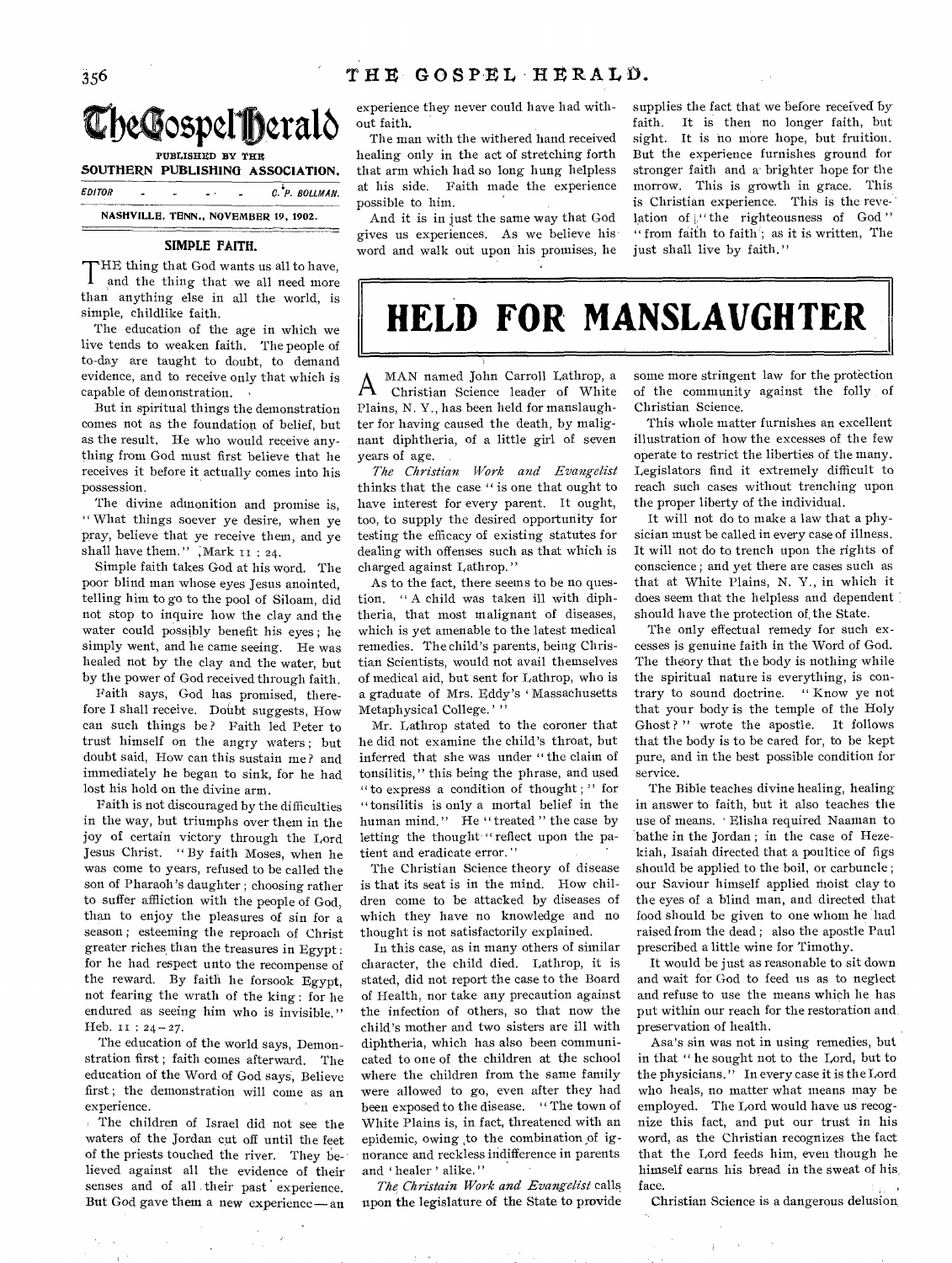

|               |  |   |     |  | SOUTHERN PUBLISHING ASSOCIATION.     |  |
|---------------|--|---|-----|--|--------------------------------------|--|
| <b>EDITOR</b> |  | ٠ | $-$ |  | C. P. BOLLMAN.                       |  |
|               |  |   |     |  | NASHVILLE, TENN., NOVEMBER 19, 1902. |  |

## **SIMPLE FAITH.**

THE thing that God wants us all to have,<br>and the thing that we all need more and the thing that we all need more than anything else in all the world, is simple, childlike faith.

The education of the age in which we live tends to weaken faith. The people of to-day are taught to doubt, to demand evidence, and to receive only that which is capable of demonstration.

But in spiritual things the demonstration comes not as the foundation of belief, but as the result. He who would receive anything from God must first believe that he receives it before it actually comes into his possession.

The divine admonition and promise is, " What things soever ye desire, when ye pray, believe that ye receive them, and ye shall have them.", Mark 11: 24.

Simple faith takes God at his word. The poor blind man whose eyes Jesus anointed, telling him to go to the pool of Siloam, did not stop to inquire how the clay and the water could possibly benefit his eyes ; he simply went, and he came seeing. He was healed not by the clay and the water, but by the power of God received through faith.

Faith says, God has promised, therefore I shall receive. Doilbt suggests, How can such things be ? Faith led Peter to trust himself on the angry waters ; but doubt said, How can this sustain me ? and immediately he began to sink, for he had lost his hold on the divine arm.

Faith is not discouraged by the difficulties in the way, but triumphs over them in the joy of certain victory through the Lord Jesus Christ. " By faith Moses, when he was come to years, refused to be called the son of Pharaoh's daughter ; choosing rather to suffer affliction with the people of God, than to enjoy the pleasures of sin for a season ; esteeming the reproach of Christ greater riches than the treasures in Egypt : for he had respect unto the recompense of the reward. By faith he forsook Egypt, not fearing the wrath of the king : for he endured as seeing him who is invisible." Heb. II : 24-27.

The education of the world says, Demonstration first ; faith comes afterward. The education of the Word of God says, Believe first ; the demonstration will come as an experience.

The children of Israel did not see the waters of the Jordan cut off until the feet of the priests touched the river. They believed against all the evidence of their senses and of all their past experience. But God gave them a new experience — an experience they never could have had without faith.

The man with the withered hand received healing only in the act of stretching forth that arm which had so long hung helpless at his side. Faith made the experience possible to him.

And it is in just the same way that God gives us experiences. As we believe his word and walk out upon his promises, he supplies the fact that we before received by faith. It is then no longer faith, but sight. It is no more hope, but fruition. But the experience furnishes ground for stronger faith and a brighter hope for the morrow. This is growth in grace. This is Christian experience. This is the revelation of  $L^{\prime\prime}$  the righteousness of God" " from faith to faith'; as it is written, The just shall live by faith."

**HELD FOR MANSLAUGHTER** 

 $\mathsf{A}% _{0}\!\left( t_{0}\right)$ MAN named John Carroll Lathrop, a Christian Science leader of White Plains, N. Y., has been held for manslaughter for having caused the death, by malignant diphtheria, of a little girl of seven years of age.

*The Christian Work and Evangelist*  thinks that the case " is one that ought to have interest for every parent. It ought, too, to supply the desired opportunity for testing the efficacy of existing statutes for dealing with offenses such as that which is charged against Lathrop."

As to the fact, there seems to be no question. " A child was taken ill with diphtheria, that most malignant of diseases, which is yet amenable to the latest medical remedies. The child's parents, being Christian Scientists, would not avail themselves of medical aid, but sent for Lathrop, who is a graduate of Mrs. Eddy's 'Massachusetts Metaphysical College.''

Mr. Lathrop stated to the coroner that he did not examine the child's throat, but inferred that she was under " the claim of tonsilitis," this being the phrase, and used " to express a condition of thought ; " for "tonsilitis is only a mortal belief in the human mind." He "treated" the case by letting the thought "reflect upon the patient and eradicate error. "

The Christian Science theory of disease is that its seat is in the mind. How children come to be attacked by diseases of which they have no knowledge and no thought is not satisfactorily explained.

In this case, as in many others of similar character, the child died. Lathrop, it is stated, did not report the case to the Board of Health, nor take any precaution against the infection of others, so that now the child's mother and two sisters are ill with diphtheria, which has also been communicated to one of the children at the school where the children from the same family were allowed to go, even after they had been exposed to the disease. " The town of White Plains is, in fact, threatened with an epidemic, owing ,to the combination of ignorance and reckless indifference in parents and 'healer' alike."

*The Christain Work and Evangelist* calls upon the legislature of the State to provide some more stringent law for the protection of the community against the folly of Christian Science.

This whole matter furnishes an excellent illustration of how the excesses of the few operate to restrict the liberties of the many. Legislators find it extremely difficult to reach such cases without trenching upon the proper liberty of the individual.

It will not do to make a law that a physician must be called in every case of illness. It will not do to trench upon the rights of conscience ; and yet there are cases such as that at White Plains, N. Y., in which it does seem that the helpless and dependent should have the protection of, the State.

The only effectual remedy for such excesses is genuine faith in the Word of God. The theory that the body is nothing while the spiritual nature is everything, is contrary to sound doctrine. " Know ye not that your body is the temple of the Holy Ghost?" wrote the apostle. It follows that the body is to be cared for, to be kept pure, and in the best possible condition for service.

The Bible teaches divine healing, healing in answer to faith, but it also teaches the use of means. • Elisha required Naaman to bathe in the Jordan ; in the case of Hezekiah, Isaiah directed that a poultice of figs should be applied to the boil, or carbuncle ; our Saviour himself applied ihoist clay to the eyes of a blind man, and directed that food should be given to one whom he had raised from the dead ; also the apostle Paul prescribed a little wine for Timothy.

It would be just as reasonable to sit down and wait for God to feed us as to neglect and refuse to use the means which he has put within our reach for the restoration and preservation of health.

Asa's sin was not in using remedies, but in that " he sought not to the Lord, but to the physicians. " In every case it is the Lord who heals, no matter what means may be employed. The Lord would have us recognize this fact, and put our trust in his word, as the Christian recognizes the fact that the Lord feeds him, even though he himself earns his bread in the sweat of his, face.

Christian Science is a dangerous delusion,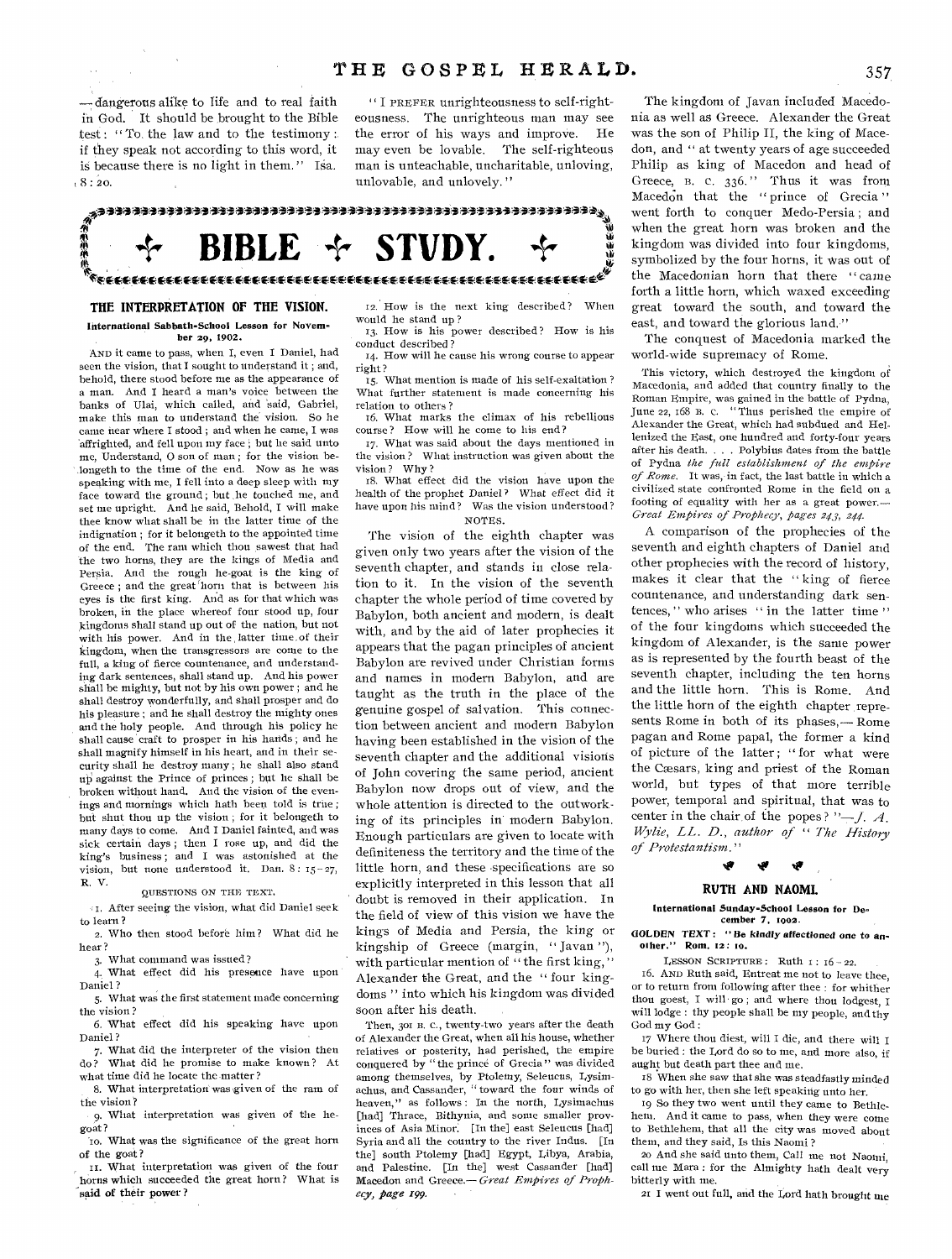- dangerous alike to life and to real faith in God. It should be brought to the Bible test: "To the law and to the testimony: if they speak not according to this word, it is because there is no light in them." Isa.  $.8:20$ 

"I PREFER unrighteousness to self-righteousness. The unrighteous man may see the error of his ways and improve. He may even be lovable. The self-righteous man is unteachable, uncharitable, unloving, unlovable, and unlovely."

ৢ<br>ℛ<br>ℛ<br>₩ 小小小小  $|BLE \div STU|$ 

# THE INTERPRETATION OF THE VISION.

International Sabbath-School Lesson for November 20, 1902.

AND it came to pass, when I, even I Daniel, had seen the vision, that I sought to understand it; and, behold, there stood before me as the appearance of a man. And I heard a man's voice between the banks of Ulai, which called, and said, Gabriel, make this man to understand the vision. So he came near where I stood; and when he came, I was affrighted, and fell upon my face; but he said unto me, Understand, O son of man; for the vision belongeth to the time of the end. Now as he was speaking with me, I fell into a deep sleep with my face toward the ground; but he touched me, and set me upright. And he said, Behold, I will make thee know what shall be in the latter time of the indignation; for it belongeth to the appointed time of the end. The ram which thou sawest that had the two horns, they are the kings of Media and Persia. And the rough he-goat is the king of Greece; and the great horn that is between his eyes is the first king. And as for that which was broken, in the place whereof four stood up, four kingdoms shall stand up out of the nation, but not with his power. And in the latter time of their kingdom, when the transgressors are come to the full, a king of fierce countenance, and understanding dark sentences, shall stand up. And his power shall be mighty, but not by his own power ; and he shall destroy wonderfully, and shall prosper and do his pleasure; and he shall destroy the mighty ones and the holy people. And through his policy he shall cause craft to prosper in his hards; and he shall magnify himself in his heart, and in their security shall he destroy many; he shall also stand up against the Prince of princes; but he shall be broken without hand. And the vision of the evenings and mornings which hath been told is true; but shut thou up the vision; for it belongeth to many days to come. And I Daniel fainted, and was sick certain days; then I rose up, and did the king's business; and I was astonished at the vision, but none understood it. Dan. 8: 15-27, R. V.

# OUESTIONS ON THE TEXT.

41. After seeing the vision, what did Daniel seek to learn? 2. Who then stood before him? What did he

hear?

3. What command was issued?

4. What effect did his presence have upon Daniel?

5. What was the first statement made concerning the vision?

6. What effect did his speaking have upon Daniel?

7. What did the interpreter of the vision then do? What did he promise to make known? At what time did he locate the matter?

8. What interpretation was given of the ram of the vision?

9. What interpretation was given of the hegoat?

To. What was the significance of the great horn of the goat?

11. What interpretation was given of the four horns which succeeded the great horn? What is said of their power?

12. How is the next king described? When would he stand up?

13. How is his power described? How is his conduct described?

14. How will he cause his wrong course to appear right?

15. What mention is made of his self-exaltation ? What further statement is made concerning his relation to others?

16. What marks the climax of his rebellious course? How will be come to his end?

17. What was said about the days mentioned in the vision? What instruction was given about the vision? Why?

18. What effect did the vision have upon the health of the prophet Daniel? What effect did it have upon his mind? Was the vision understood? NOTES.

The vision of the eighth chapter was given only two years after the vision of the seventh chapter, and stands in close relation to it. In the vision of the seventh chapter the whole period of time covered by Babylon, both ancient and modern, is dealt with, and by the aid of later prophecies it appears that the pagan principles of ancient Babylon are revived under Christian forms and names in modern Babylon, and are taught as the truth in the place of the genuine gospel of salvation. This connection between ancient and modern Babylon having been established in the vision of the seventh chapter and the additional visions of John covering the same period, ancient Babylon now drops out of view, and the whole attention is directed to the outworking of its principles in modern Babylon. Enough particulars are given to locate with definiteness the territory and the time of the little horn, and these specifications are so explicitly interpreted in this lesson that all doubt is removed in their application. In the field of view of this vision we have the kings of Media and Persia, the king or kingship of Greece (margin, "Javan"), with particular mention of "the first king," Alexander the Great, and the "four kingdoms " into which his kingdom was divided soon after his death.

Then, 301 B. C., twenty-two years after the death of Alexander the Great, when all his house, whether relatives or posterity, had perished, the empire conquered by "the prince of Grecia" was divided among themselves, by Ptolemy, Seleucus, Lysimachus, and Cassander, "toward the four winds of heaven," as follows: In the north, Lysimachus [had] Thrace, Bithynia, and some smaller provinces of Asia Minor. [In the] east Seleucus [had] Syria and all the country to the river Indus. [In the] south Ptolemy [had] Egypt, Libya, Arabia, and Palestine. [In the] west Cassander [had] Macedon and Greece.-Great Empires of Prophecy, page 199.

The kingdom of Javan included Macedonia as well as Greece. Alexander the Great was the son of Philip II, the king of Macedon, and " at twenty years of age succeeded Philip as king of Macedon and head of Greece, B. C. 336." Thus it was from Macedon that the "prince of Grecia" went forth to conquer Medo-Persia; and when the great horn was broken and the kingdom was divided into four kingdoms, symbolized by the four horns, it was out of the Macedonian horn that there "came forth a little horn, which waxed exceeding great toward the south, and toward the east, and toward the glorious land."

The conquest of Macedonia marked the world-wide supremacy of Rome.

This victory, which destroyed the kingdom of Macedonia, and added that country finally to the Roman Empire, was gained in the battle of Pydna,<br>June 22, 168 B. C. "Thus perished the empire of Alexander the Great, which had subdued and Hellenized the East, one hundred and forty-four years after his death. . . . Polybius dates from the battle of Pydna the full establishment of the empire of Rome. It was, in fact, the last battle in which a civilized state confronted Rome in the field on a footing of equality with her as a great power. Great Empires of Prophecy, pages 243, 244.

A comparison of the prophecies of the seventh and eighth chapters of Daniel and other prophecies with the record of history. makes it clear that the "king of fierce countenance, and understanding dark sentences," who arises "in the latter time" of the four kingdoms which succeeded the kingdom of Alexander, is the same power as is represented by the fourth beast of the seventh chapter, including the ten horns and the little horn. This is Rome. And the little horn of the eighth chapter represents Rome in both of its phases,—Rome pagan and Rome papal, the former a kind of picture of the latter; "for what were the Cæsars, king and priest of the Roman world, but types of that more terrible power, temporal and spiritual, that was to center in the chair of the popes? " $-J. A$ . Wylie, LL. D., author of "The History of Protestantism."

# RUTH AND NAOMI.

International Sunday-School Lesson for December 7, 1902.

GOLDEN TEXT: "Be kindly affectioned one to another." Rom. 12: 10.

LESSON SCRIPTURE: Ruth  $1: 16-22$ .

16. AND Ruth said, Entreat me not to leave thee, or to return from following after thee : for whither thou goest, I will go; and where thou lodgest, I will lodge : thy people shall be my people, and thy God my God:

17 Where thou diest, will I die, and there will I be buried : the Lord do so to me, and more also, if aught but death part thee and me.

18 When she saw that she was steadfastly minded to go with her, then she left speaking unto her.

19 So they two went until they came to Bethlehem. And it came to pass, when they were come to Bethlehem, that all the city was moved about them, and they said, Is this Naomi?

20 And she said unto them, Call me not Naonni, call me Mara : for the Almighty hath dealt very bitterly with me.

21 I went out full, and the Lord hath brought me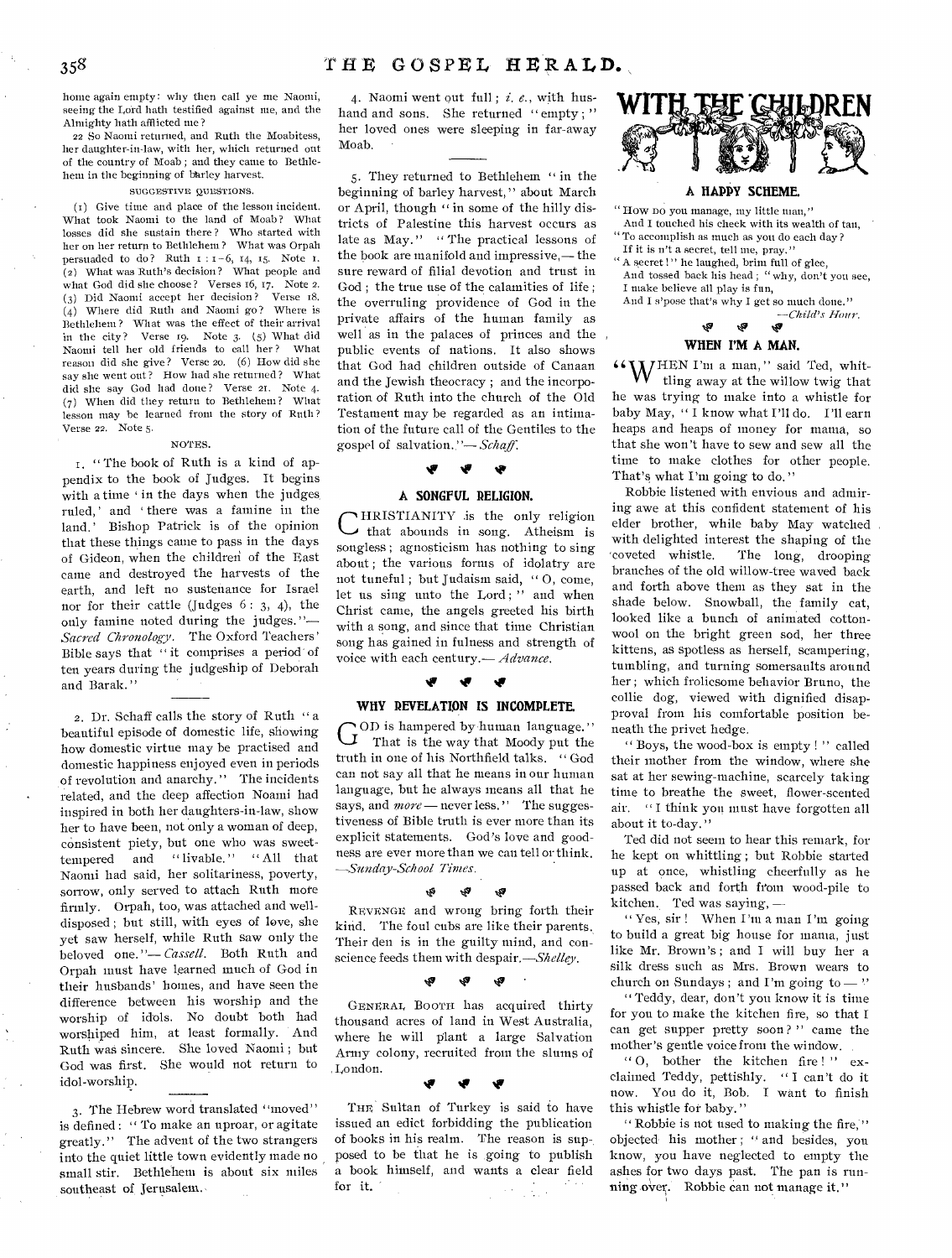home again empty: why then call ye me Naomi, seeing the Lord bath testified against me, and the Almighty hath afflicted me?

22 So Naomi returned, and Ruth the Moabitess, her daughter-in-law, with her, which returned out of the country of Moab ; and they came to Bethlehem in the beginning of bhrley harvest.

#### SUGGESTIVE QUESTIONS.

(t) Give time and place of the lesson incident. What took Naomi to the land of Moab? What losses did she sustain there ? Who started with her on her return to Bethlehem? What was Orpah persuaded to do? Ruth I :I-6, 14, 15. Note 1. (2) What was Ruth's decision? What people and what God did she choose? Verses 16, 17. Note 2.<br>(2) Did Naomi accept her decision? Verse 18. (3) Did Naomi accept her decision? (4) Where did Ruth and Naomi go? Where is Bethlehem? What was the effect of their arrival in the city? Verse 19. Note 3. (5) What did Naomi tell her old friends to call her? What reason did she give? Verse 20, (6) How did she say she went out? How had she returned? What did she say God had done? Verse 21. Note 4. (7) When did they return to Bethlehem? What lesson may he learned from the story of Ruth? Verse 22. Note 5.

#### NOTES.

1. " The book of Ruth is a kind of appendix to the book of Judges. It begins with a time 'in the days when the judges. ruled,' and 'there was a famine in the land,' Bishop Patrick is of the opinion that these things came to pass in the days of Gideon, when the children of the East came and destroyed the harvests of the earth, and left no sustenance for Israel nor for their cattle (Judges 6: 3, 4), the only famine noted during the judges."— *Sacred Chronology.* The Oxford Teachers' Bible says that " it comprises a period' of ten years during the judgeship of Deborah and Barak."

2. Dr. Schaff calls the story of Ruth " a beautiful episode of domestic life, showing how domestic virtue may he practised and domestic happiness enjoyed even in periods of revolution and anarchy." The incidents related, and the deep affection Noami had inspired in both her daughters-in-law, show her to have been, not only a woman of deep, consistent piety, but one who was sweettempered and "livable." "All that Naomi had said, her solitariness, poverty, sorrow, only served to attach Ruth mote firmly. Orpah, too, was attached and welldisposed ; but still, with eyes of love, she yet saw herself, while Ruth saw only the beloved one. "— *Cassell.* Both Ruth and Orpah must have learned much of God in their husbands' homes, and have seen the difference between his worship and the worship of idols. No doubt both had worshiped him, at least formally. And Ruth was sincere. She loved Naomi ; but God was first. She would not return to idol-worship.

3. The Hebrew word translated "moved" is defined : " To make an uproar, or agitate greatly." The advent of the two strangers into the quiet little town evidently made no small stir. Bethlehem is about six miles southeast of Jerusalem.,

4. Naomi went out full; i, *e.,* with hushand and sons. She returned "empty;" her loved ones were sleeping in far-away Moab.

5. They returned to Bethlehem " in the beginning of barley harvest," about March or April, though " in some of the hilly districts of Palestine this harvest occurs as late as May." " The practical lessons of the book are manifold and impressive,— the sure reward of filial devotion and trust in God ; the true use of the calamities of life ; the overruling providence of God in the private affairs of the human family as well as in the palaces of princes and the public events of nations. It also shows that God had children outside of Canaan and the Jewish theocracy ; and the incorporation of Ruth into the church of the Old Testament may be regarded as an intimation of the future call of the Gentiles to the gospel of salvation. "— *Schaff.* 

# **If iv**

# **A SONGFUL RELIGION.**

C that abounds in song. Atheism is HRISTIANITY is the only religion songless ; agnosticism has nothing to sing about ; the various forms of idolatry are not tuneful ; but Judaism said, " 0, come, let us sing unto the Lord;" and when Christ came, the angels greeted his birth with a song, and since that time Christian song has gained in fulness and strength of voice with each century.— *Advance*.<br> **v v v** 

## WHY REVELATION IS INCOMPLETE.

GOD is hampered by human language."<br>That is the way that Moody put the OD is hampered by human language." truth in one of his Northfield talks. " God can not say all that he means in our human language, but he always means all that he says, and *more* — never less." The suggestiveness of Bible truth is ever more than its explicit statements. God's love and goodness are ever more than we can tell or think. *—Sunday-School Times.* 

#### Ŵ,

REVENGE and wrong bring forth their kind. The foul cubs are like their parents. Their den is in the guilty mind, and conscience feeds them with despair.—Shelley.

۰Ś.

# ,47 '

GENERAL BOOTH has acquired thirty thousand acres of land in West Australia, where he will plant a large Salvation Army colony, recruited from the slums of ,London.

# Niv le

THE Sultan of Turkey is said to have issued an edict forbidding the publication of books in his realm. The reason is sup-, posed to be that he is going to publish a book himself, and wants a clear field for it. is de la



**A HAPPY SCHEME.** 

" How DO you manage, my little man," And I touched his cheek with its wealth of tan, "To accomplish as much as you do each day? If it is n't a secret, tell me, pray." " A secret !" he laughed, brim full of glee, And tossed back his head ; "why, don't you see, I make believe all play is fun, And I s'pose that's why I get so much done." *—Child's Hour.*   $\mathbf{r}$ **Ry** *'9* 

# **WHEN I'M A MAN.**

**4 WHEN** I'm a man," said Ted, whit-<br>tling away at the willow twig that tling away at the willow twig that he was trying to make into a whistle for baby May, " I know what I'll do, I'll earn heaps and heaps of money for mania, so that she won't have to sew and sew all the time to make clothes for other people. That's what I'm going to do."

Robbie listened with envious and admiring awe at this confident statement of his elder brother, while baby May watched with delighted interest the shaping of the coveted whistle. The long, drooping The long, drooping branches of the old willow-tree waved back and forth above them as they sat in the shade below. Snowball, the family cat, looked like a bunch of animated cottonwool on the bright green sod, her three kittens, as spotless as herself, scampering, tumbling, and turning somersaults around her ; which frolicsome behavior Bruno, the collie dog, viewed with dignified disapproval from his comfortable position beneath the privet hedge.

" Boys, the wood-box is empty ! " called their mother from the window, where she sat at her sewing-machine, scarcely taking time to breathe the sweet, flower-scented air. " I think you must have forgotten all about it to-day."

Ted did not seem to hear this remark, for he kept on whittling ; but Robbie started up at once, whistling cheerfully as he passed back and forth from wood-pile to kitchen. Ted was saying, —

" Yes, sir ! When I'm a man I'm going to build a great big house for mania, just like Mr. Brown's ; and I will buy her a silk dress such as Mrs. Brown wears to church on Sundays; and I'm going to  $-$  "

" Teddy, dear, don't you know it is time for you to make the kitchen fire, so that I can get supper pretty soon ? " came the mother's gentle voice from the window.

" 0, bother the kitchen fire ! " exclaimed Teddy, pettishly. " I can't do it now. You do it, Bob. I want to finish this whistle for baby."

" Robbie is not used to making the fire, ' objected his mother ; " and besides, you know, you have neglected to empty the ashes for two days past. The pan is running over. Robbie can not manage it."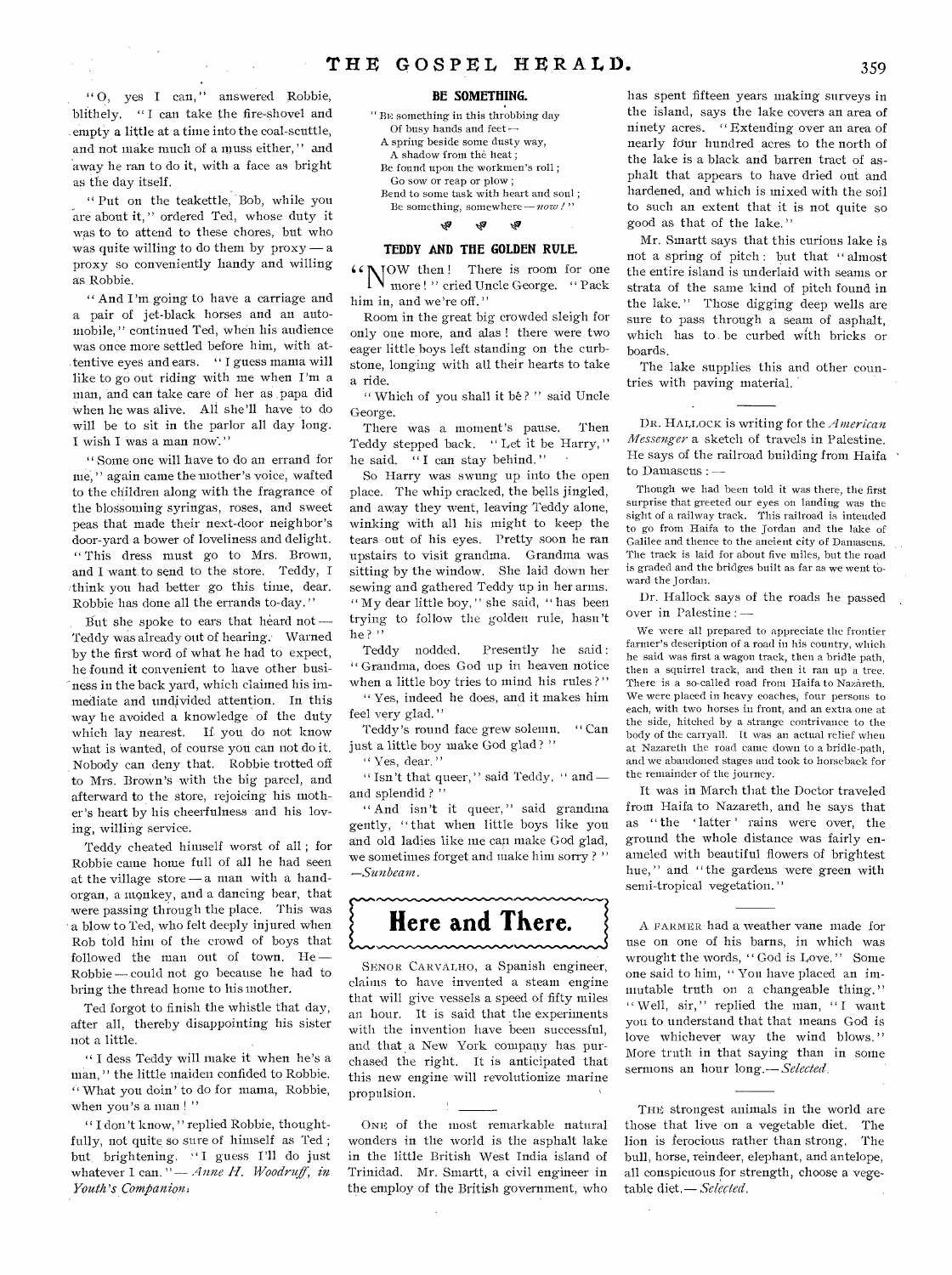"O, yes I can," answered Robbie, blithely. "I can take the fire-shovel and . empty a little at a time into the coal-scuttle, and not make much of a muss either, " and away he ran to do it, with a face as bright as the day itself.

" Put on the teakettle, Bob, while you are about it," ordered Ted, whose duty it was to to attend to these chores, but who was quite willing to do them by  $prox y - a$ proxy so conveniently handy and willing as Robbie.

" And I'm going to have a carriage and a pair of jet-black horses and an automobile, " continued Ted, when his audience was once more settled before him, with attentive eyes and ears. " I guess mama will like to go out riding with me when I'm a man, and can take care of her as ,papa did When he was alive. All she'll have to do will be to sit in the parlor all day long. I wish I was a man now. "

" Some one will have to do an errand for me," again came the mother's voice, wafted to the children along with the fragrance of the blossoming syringas, roses, and sweet peas that made their next-door neighbor's door-yard a bower of loveliness and delight. " This dress must go to Mrs. Brown, and I want to send to the store. Teddy, I :think you had better go this time, dear. Robbie has done all the errands to-day."

But she spoke to ears that heard not — Teddy was already out of hearing. Warned by the first word of what he had to expect, he found it convenient to have other business in the back yard, which claimed his immediate and undivided attention. In this way he avoided a knowledge of the duty which lay nearest. If you do not know what is 'wanted, of course you can not do it. Nobody can deny that. Robbie trotted off to Mrs. Brown's with the big parcel, and afterward to the store, rejoicing his mother's heart by his cheerfulness and his loving, willing service.

Teddy cheated himself worst of all ; for Robbie came home full of all he had seen at the village store — a man with a handorgan, a monkey, and a dancing bear, that were passing through the place. This was a blow to Ted, who felt deeply injured when Rob told him of the crowd of boys that followed the man out of town. He — Robbie — could not go because he had to bring the thread home to his mother.

Ted forgot to finish the whistle that day, after all, thereby disappointing his sister not a little.

" I dess Teddy will make it when he's a man," the little maiden confided to Robbie. " What you doin' to do for mama, Robbie, when you's a man!"

" I don't know, " replied Robbie, thoughtfully, not quite so sure of himself as Ted ; but, brightening. "I guess I'll do just whatever I can." - Anne H. Woodruff, in *Youth's Companion,* 

#### **BE SOMETHING.**

BE something in this throbbing day Of busy hands and feet — A spring beside some dusty way, A shadow from the heat ; Be found upon the workmen's roll ; Go sow or reap or plow ; Bend to some task with heart and soul ; Be something, somewhere *—now!"* 

#### $\mathbb{Q}_p$   $\mathbb{Q}_p$ Ŵ

#### **TEDDY AND THE GOLDEN RULE.**

**COW then!** There is room for one more !" cried Uncle George. "Pack him in, and we're off."

Room in the great big crowded sleigh for only one more, and alas ! there were two eager little boys left standing on the curbstone, longing with all their hearts to take a ride.

" Which of you shall it be?" said Uncle George.

There was a moment's pause. Then Teddy stepped back. "Let it be Harry," he said. "I can stay behind."

So Harry was swung up into the open place. The whip cracked, the bells jingled, and away they went, leaving Teddy alone, winking with all his might to keep the tears out of his eyes. Pretty soon he ran upstairs to visit grandma. Grandma was sitting by the window. She laid down her sewing and gathered Teddy up in her arms. " My dear little boy," she said, "has been trying to follow the golden rule, hasn't he?"<br>Teddy nodded.

Presently he said: " Grandma, does God up in heaven notice when a little boy tries to mind his rules?"

" Yes, indeed he does, and it makes him feel very glad."

Teddy's round face grew solemn. " Can just a little boy make God glad?"

" Yes, dear."

" Isn't that queer," said Teddy, " and and splendid?'

" And isn't it queer," said grandma gently, " that when little boys like you and old ladies like me can make God glad, we sometimes forget and make him sorry ? " *—Sunbeam.* 

# **Here and There.**

~~~~

SENOR CARVALHO, a Spanish engineer, claims to have invented a steam engine that will give vessels a speed of fifty miles an hour. It is said that the experiments with the invention have been successful, and that a New York company has purchased the right. It is anticipated that this new engine will revolutionize marine propulsion.

ONE of the most remarkable natural wonders in the world is the asphalt lake in the little British West India island of Trinidad. Mr. Smartt, a civil engineer in the employ of the British government, who has spent fifteen years making surveys in the island, says the lake covers an area of ninety acres. " Extending over an area of nearly four hundred acres to the north of the lake is a black and barren tract of asphalt that appears to have dried out and hardened, and which is mixed with the soil to such an extent that it is not quite so good as that of the lake."

Mr. Smartt says that this curious lake is not a spring of pitch : but that " almost the entire island is underlaid with seams or strata of the same kind of pitch found in the lake." Those digging deep wells are sure to pass through a seam of asphalt, which has to be curbed with bricks or boards.

The lake supplies this and other countries with paving material.

DR. HALLOCK is writing for the *American Messenger* a sketch of travels in Palestine. He says of the railroad building from Haifa to Damascus :

Though we had been told it was there, the first surprise that greeted our eyes on landing was the sight of a railway track. This railroad is intended to go from Haifa to the Jordan and the lake of Galilee and thence to the ancient city of Damascus. The track is laid for about five miles, but the road is graded and the bridges built as far as we went toward the Jordan.

Dr. Hallock says of the roads he passed over in Palestine : —

We were all prepared to appreciate the frontier farmer's description of a road in his country, which he said was first a wagon track, then a bridle path, then a squirrel track, and then it ran up a tree. There is a so-called road from Haifa to Nazareth. We were placed in heavy coaches, four persons to each, with two horses in front, and an extra one at the side, hitched by a strange contrivance to the body of the carryall. It was an actual relief when at Nazareth the road came down to a bridle-path, and we abandoned stages and took to horseback for the remainder of the journey.

It was in March that the Doctor traveled from Haifa to Nazareth, and he *says* that as " the 'latter' rains were over, the ground the whole distance was fairly enameled with beautiful flowers of brightest hue," and "the gardens were green with semi-tropical vegetation."

A FARMER had a weather vane made for use on one of his barns, in which was wrought the words, " God is Love. " Some one said to him, " You have placed an immutable truth on a changeable thing." " Well, sir," replied the man, "I want you to understand that that means God is love whichever way the wind blows." More truth in that saying than in some sermons an hour *long.— Selected* 

THE strongest animals in the world are those that live on a vegetable diet. The lion is ferocious rather than strong. The bull, horse, reindeer, elephant, and antelope, all conspicuous for strength, choose a vegetable diet,— *Selected,*